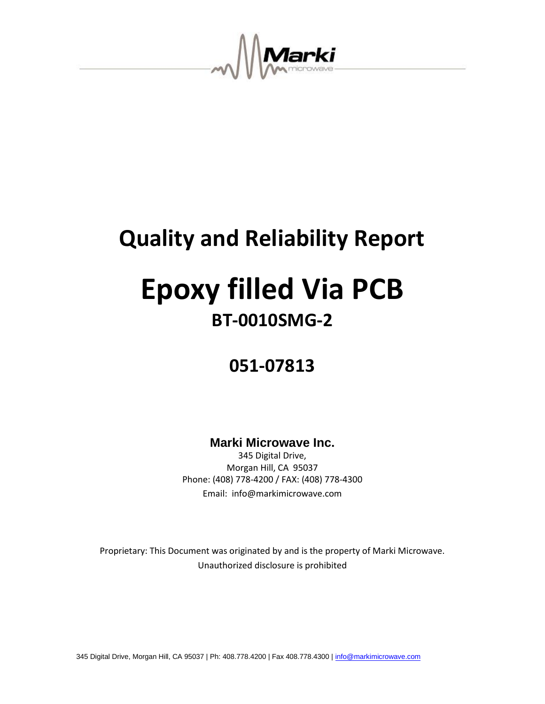

## **Quality and Reliability Report**

# **Epoxy filled Via PCB BT-0010SMG-2**

## **051-07813**

**Marki Microwave Inc.**

345 Digital Drive, Morgan Hill, CA 95037 Phone: (408) 778-4200 / FAX: (408) 778-4300 Email: info@markimicrowave.com

Proprietary: This Document was originated by and is the property of Marki Microwave. Unauthorized disclosure is prohibited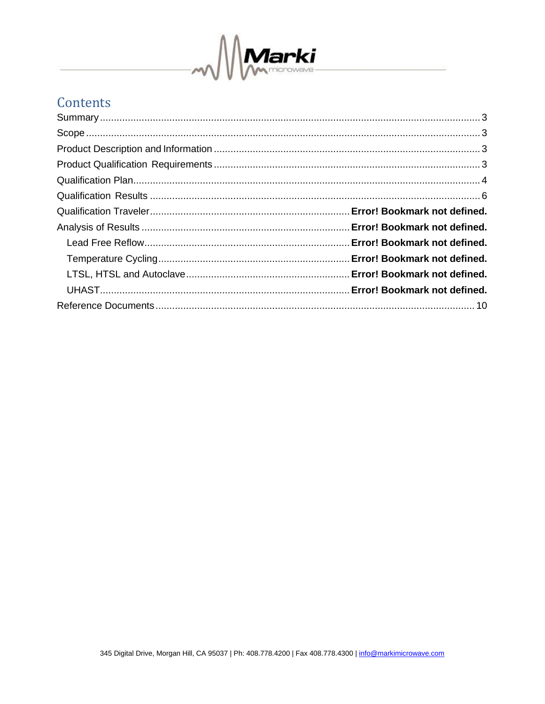

## Contents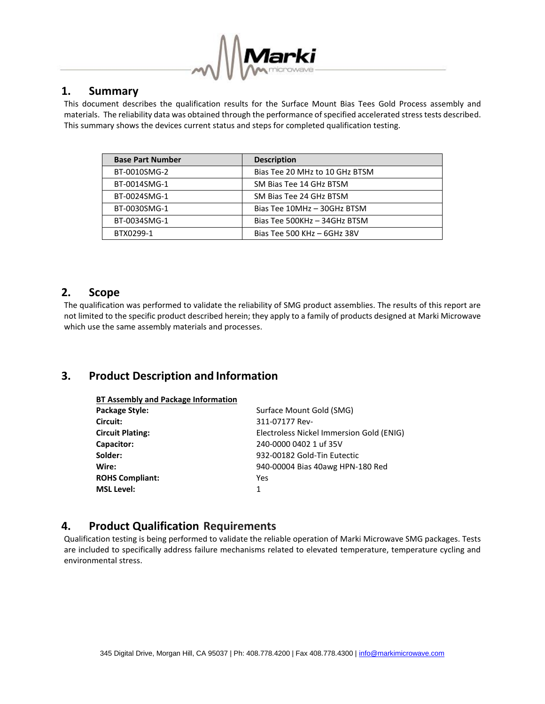

### **1. Summary**

This document describes the qualification results for the Surface Mount Bias Tees Gold Process assembly and materials. The reliability data was obtained through the performance of specified accelerated stress tests described. This summary shows the devices current status and steps for completed qualification testing.

| <b>Base Part Number</b> | <b>Description</b>             |
|-------------------------|--------------------------------|
| BT-0010SMG-2            | Bias Tee 20 MHz to 10 GHz BTSM |
| BT-0014SMG-1            | SM Bias Tee 14 GHz BTSM        |
| BT-0024SMG-1            | SM Bias Tee 24 GHz BTSM        |
| BT-0030SMG-1            | Bias Tee 10MHz - 30GHz BTSM    |
| BT-0034SMG-1            | Bias Tee 500KHz - 34GHz BTSM   |
| BTX0299-1               | Bias Tee 500 KHz $-$ 6GHz 38V  |

## **2. Scope**

The qualification was performed to validate the reliability of SMG product assemblies. The results of this report are not limited to the specific product described herein; they apply to a family of products designed at Marki Microwave which use the same assembly materials and processes.

## **3. Product Description and Information**

| <b>BT Assembly and Package Information</b> |                                          |
|--------------------------------------------|------------------------------------------|
| <b>Package Style:</b>                      | Surface Mount Gold (SMG)                 |
| Circuit:                                   | 311-07177 Rev-                           |
| <b>Circuit Plating:</b>                    | Electroless Nickel Immersion Gold (ENIG) |
| Capacitor:                                 | 240-0000 0402 1 uf 35V                   |
| Solder:                                    | 932-00182 Gold-Tin Eutectic              |
| Wire:                                      | 940-00004 Bias 40awg HPN-180 Red         |
| <b>ROHS Compliant:</b>                     | Yes                                      |
| <b>MSL Level:</b>                          | 1                                        |
|                                            |                                          |

### **4. Product Qualification Requirements**

Qualification testing is being performed to validate the reliable operation of Marki Microwave SMG packages. Tests are included to specifically address failure mechanisms related to elevated temperature, temperature cycling and environmental stress.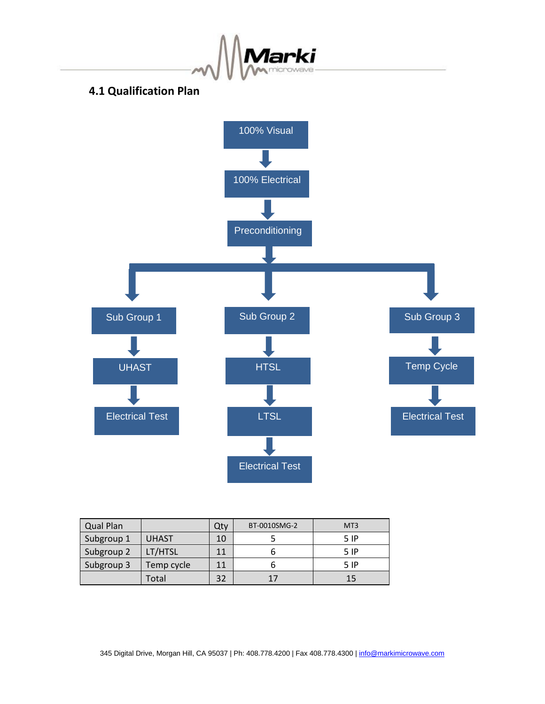1arki

## **4.1 Qualification Plan**



| <b>Qual Plan</b> |              | Qty | BT-0010SMG-2 | M <sub>T</sub> 3 |
|------------------|--------------|-----|--------------|------------------|
| Subgroup 1       | <b>UHAST</b> | 10  |              | 5 IP             |
| Subgroup 2       | LT/HTSL      | 11  |              | 5 IP             |
| Subgroup 3       | Temp cycle   | 11  |              | 5 IP             |
|                  | Total        | 32  | 17           | 15               |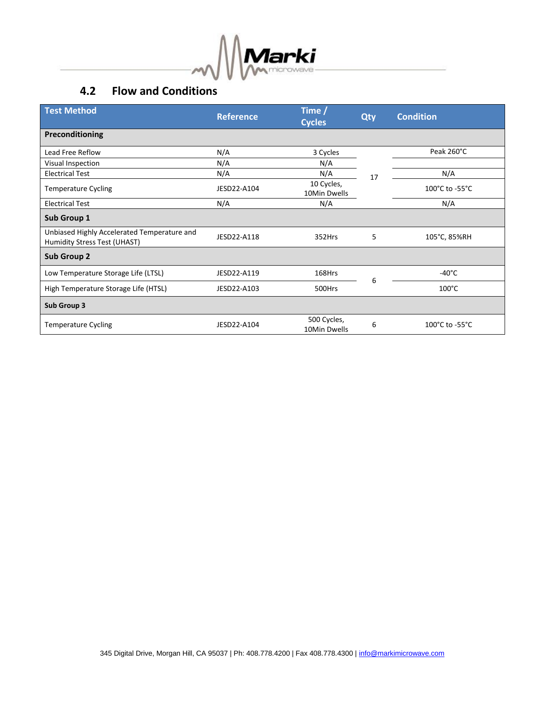

## **4.2 Flow and Conditions**

| <b>Test Method</b>                                                          | <b>Reference</b> | Time /<br><b>Cycles</b>     | Qty | <b>Condition</b> |
|-----------------------------------------------------------------------------|------------------|-----------------------------|-----|------------------|
| Preconditioning                                                             |                  |                             |     |                  |
| Lead Free Reflow                                                            | N/A              | 3 Cycles                    |     | Peak 260°C       |
| Visual Inspection                                                           | N/A              | N/A                         |     |                  |
| <b>Electrical Test</b>                                                      | N/A              | N/A                         | 17  | N/A              |
| <b>Temperature Cycling</b>                                                  | JESD22-A104      | 10 Cycles,<br>10Min Dwells  |     | 100°C to -55°C   |
| <b>Electrical Test</b>                                                      | N/A              | N/A                         |     | N/A              |
| Sub Group 1                                                                 |                  |                             |     |                  |
| Unbiased Highly Accelerated Temperature and<br>Humidity Stress Test (UHAST) | JESD22-A118      | 352Hrs                      | 5   | 105°C, 85%RH     |
| Sub Group 2                                                                 |                  |                             |     |                  |
| Low Temperature Storage Life (LTSL)                                         | JESD22-A119      | 168Hrs                      | 6   | $-40^{\circ}$ C  |
| High Temperature Storage Life (HTSL)                                        | JESD22-A103      | 500Hrs                      |     | $100^{\circ}$ C  |
| Sub Group 3                                                                 |                  |                             |     |                  |
| <b>Temperature Cycling</b>                                                  | JESD22-A104      | 500 Cycles,<br>10Min Dwells | 6   | 100°C to -55°C   |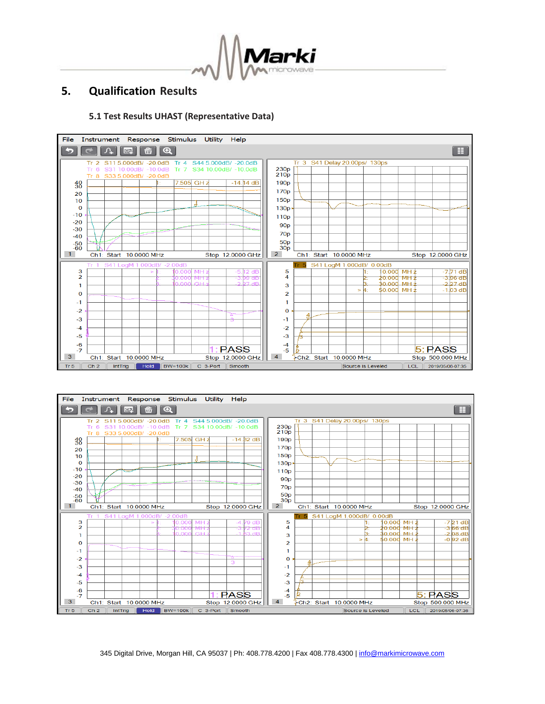

## **5. Qualification Results**

#### **5.1 Test Results UHAST (Representative Data)**



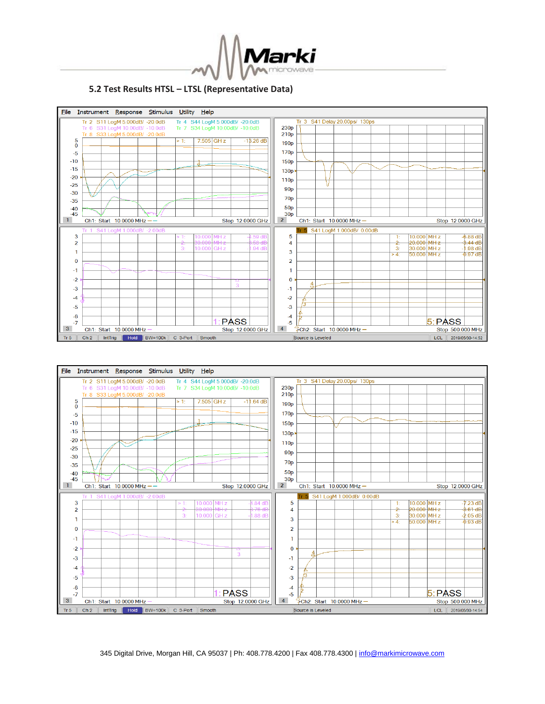

#### **5.2 Test Results HTSL – LTSL (Representative Data)**



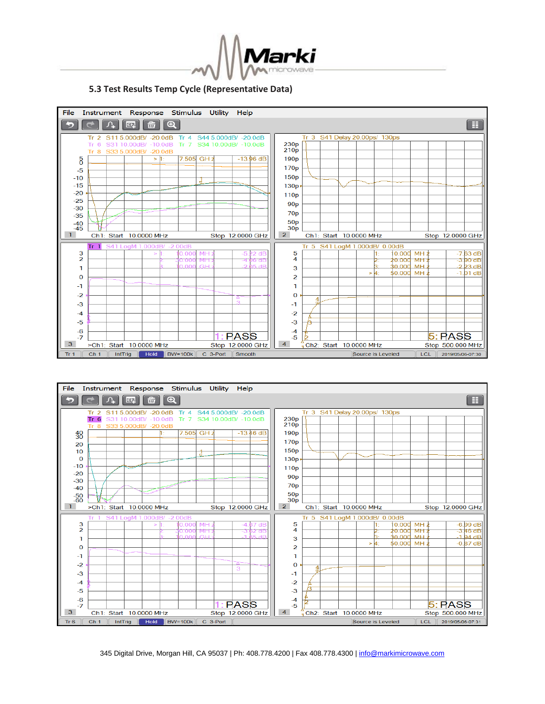



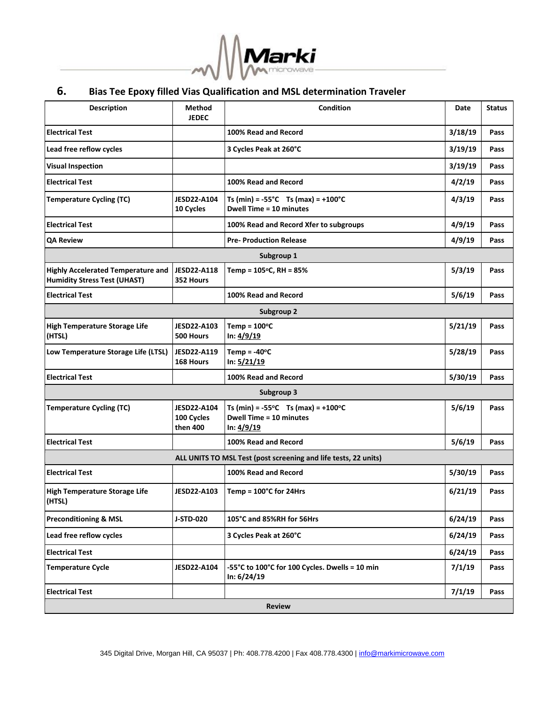

## **6. Bias Tee Epoxy filled Vias Qualification and MSL determination Traveler**

| <b>Description</b>                                                               | Method<br><b>JEDEC</b>                       | Condition                                                                                              | Date    | <b>Status</b> |  |
|----------------------------------------------------------------------------------|----------------------------------------------|--------------------------------------------------------------------------------------------------------|---------|---------------|--|
| <b>Electrical Test</b>                                                           |                                              | 100% Read and Record                                                                                   | 3/18/19 | Pass          |  |
| Lead free reflow cycles                                                          |                                              | 3 Cycles Peak at 260°C                                                                                 | 3/19/19 | Pass          |  |
| <b>Visual Inspection</b>                                                         |                                              |                                                                                                        | 3/19/19 | Pass          |  |
| <b>Electrical Test</b>                                                           |                                              | 100% Read and Record                                                                                   | 4/2/19  | Pass          |  |
| <b>Temperature Cycling (TC)</b>                                                  | JESD22-A104<br>10 Cycles                     | Ts (min) = -55°C Ts (max) = +100°C<br>Dwell Time = 10 minutes                                          | 4/3/19  | Pass          |  |
| <b>Electrical Test</b>                                                           |                                              | 100% Read and Record Xfer to subgroups                                                                 |         | Pass          |  |
| <b>QA Review</b>                                                                 |                                              | <b>Pre-Production Release</b>                                                                          | 4/9/19  | Pass          |  |
|                                                                                  |                                              | Subgroup 1                                                                                             |         |               |  |
| <b>Highly Accelerated Temperature and</b><br><b>Humidity Stress Test (UHAST)</b> | JESD22-A118<br>352 Hours                     | Temp = $105^{\circ}$ C, RH = 85%                                                                       | 5/3/19  | Pass          |  |
| <b>Electrical Test</b>                                                           |                                              | 100% Read and Record                                                                                   | 5/6/19  | Pass          |  |
|                                                                                  |                                              | Subgroup 2                                                                                             |         |               |  |
| <b>High Temperature Storage Life</b><br>(HTSL)                                   | JESD22-A103<br>500 Hours                     | Temp = $100^{\circ}$ C<br>In: 4/9/19                                                                   | 5/21/19 | Pass          |  |
| Low Temperature Storage Life (LTSL)                                              | JESD22-A119<br>168 Hours                     | Temp = $-40^{\circ}$ C<br>In: $5/21/19$                                                                | 5/28/19 | Pass          |  |
| <b>Electrical Test</b>                                                           |                                              | 100% Read and Record                                                                                   | 5/30/19 | Pass          |  |
|                                                                                  |                                              | Subgroup 3                                                                                             |         |               |  |
| <b>Temperature Cycling (TC)</b>                                                  | <b>JESD22-A104</b><br>100 Cycles<br>then 400 | Ts (min) = -55 $\degree$ C Ts (max) = +100 $\degree$ C<br><b>Dwell Time = 10 minutes</b><br>In: 4/9/19 | 5/6/19  | Pass          |  |
| <b>Electrical Test</b>                                                           |                                              | 100% Read and Record                                                                                   | 5/6/19  | Pass          |  |
| ALL UNITS TO MSL Test (post screening and life tests, 22 units)                  |                                              |                                                                                                        |         |               |  |
| <b>Electrical Test</b>                                                           |                                              | 100% Read and Record                                                                                   | 5/30/19 | Pass          |  |
| <b>High Temperature Storage Life</b><br>(HTSL)                                   | <b>JESD22-A103</b>                           | Temp = $100^{\circ}$ C for 24Hrs                                                                       | 6/21/19 | Pass          |  |
| <b>Preconditioning &amp; MSL</b>                                                 | <b>J-STD-020</b>                             | 105°C and 85%RH for 56Hrs                                                                              | 6/24/19 | Pass          |  |
| Lead free reflow cycles                                                          |                                              | 3 Cycles Peak at 260°C                                                                                 | 6/24/19 | Pass          |  |
| <b>Electrical Test</b>                                                           |                                              |                                                                                                        | 6/24/19 | Pass          |  |
| <b>Temperature Cycle</b>                                                         | JESD22-A104                                  | -55°C to 100°C for 100 Cycles. Dwells = 10 min<br>In: 6/24/19                                          | 7/1/19  | Pass          |  |
| <b>Electrical Test</b>                                                           |                                              |                                                                                                        | 7/1/19  | Pass          |  |
| <b>Review</b>                                                                    |                                              |                                                                                                        |         |               |  |